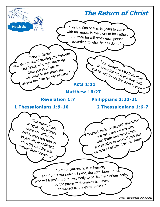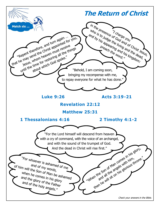